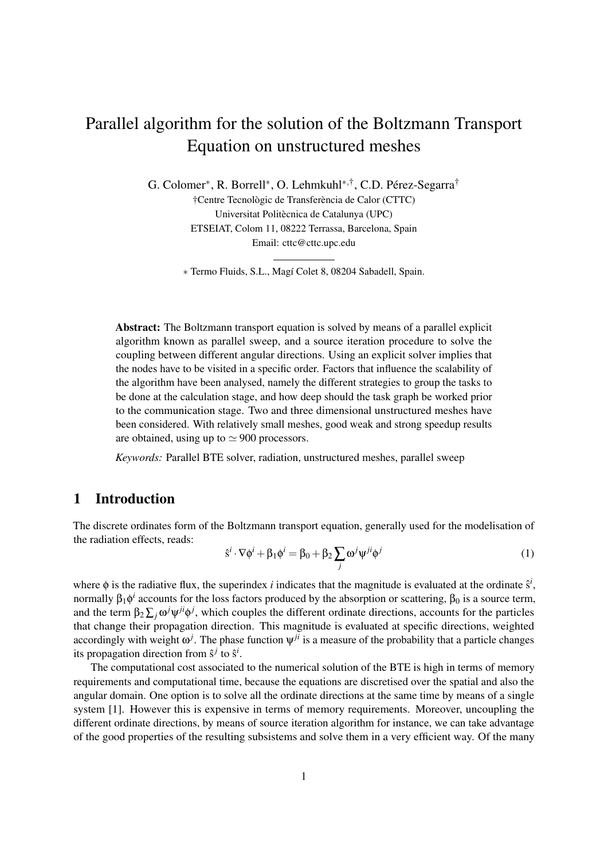# Parallel algorithm for the solution of the Boltzmann Transport Equation on unstructured meshes

G. Colomer<sup>\*</sup>, R. Borrell<sup>\*</sup>, O. Lehmkuhl<sup>\*,†</sup>, C.D. Pérez-Segarra<sup>†</sup>

†Centre Tecnològic de Transferència de Calor (CTTC) Universitat Politècnica de Catalunya (UPC) ETSEIAT, Colom 11, 08222 Terrassa, Barcelona, Spain Email: cttc@cttc.upc.edu

∗ Termo Fluids, S.L., Magí Colet 8, 08204 Sabadell, Spain.

Abstract: The Boltzmann transport equation is solved by means of a parallel explicit algorithm known as parallel sweep, and a source iteration procedure to solve the coupling between different angular directions. Using an explicit solver implies that the nodes have to be visited in a specific order. Factors that influence the scalability of the algorithm have been analysed, namely the different strategies to group the tasks to be done at the calculation stage, and how deep should the task graph be worked prior to the communication stage. Two and three dimensional unstructured meshes have been considered. With relatively small meshes, good weak and strong speedup results are obtained, using up to  $\simeq 900$  processors.

*Keywords:* Parallel BTE solver, radiation, unstructured meshes, parallel sweep

# 1 Introduction

The discrete ordinates form of the Boltzmann transport equation, generally used for the modelisation of the radiation effects, reads:

$$
\hat{\mathbf{s}}^i \cdot \nabla \phi^i + \beta_1 \phi^i = \beta_0 + \beta_2 \sum_j \omega^j \psi^{ji} \phi^j
$$
 (1)

where  $\phi$  is the radiative flux, the superindex *i* indicates that the magnitude is evaluated at the ordinate  $\hat{s}^i$ , normally  $\beta_1 \phi^i$  accounts for the loss factors produced by the absorption or scattering,  $\beta_0$  is a source term, and the term  $\beta_2 \sum_j \omega^j \psi^{ji} \phi^j$ , which couples the different ordinate directions, accounts for the particles that change their propagation direction. This magnitude is evaluated at specific directions, weighted accordingly with weight  $\omega^j$ . The phase function  $\psi^{ji}$  is a measure of the probability that a particle changes its propagation direction from  $\hat{s}^j$  to  $\hat{s}^i$ .

The computational cost associated to the numerical solution of the BTE is high in terms of memory requirements and computational time, because the equations are discretised over the spatial and also the angular domain. One option is to solve all the ordinate directions at the same time by means of a single system [1]. However this is expensive in terms of memory requirements. Moreover, uncoupling the different ordinate directions, by means of source iteration algorithm for instance, we can take advantage of the good properties of the resulting subsistems and solve them in a very efficient way. Of the many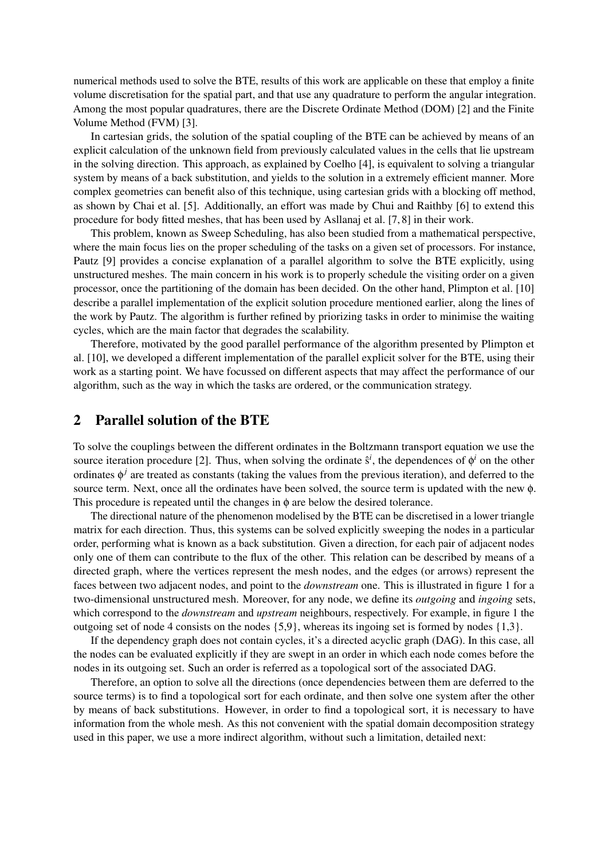numerical methods used to solve the BTE, results of this work are applicable on these that employ a finite volume discretisation for the spatial part, and that use any quadrature to perform the angular integration. Among the most popular quadratures, there are the Discrete Ordinate Method (DOM) [2] and the Finite Volume Method (FVM) [3].

In cartesian grids, the solution of the spatial coupling of the BTE can be achieved by means of an explicit calculation of the unknown field from previously calculated values in the cells that lie upstream in the solving direction. This approach, as explained by Coelho [4], is equivalent to solving a triangular system by means of a back substitution, and yields to the solution in a extremely efficient manner. More complex geometries can benefit also of this technique, using cartesian grids with a blocking off method, as shown by Chai et al. [5]. Additionally, an effort was made by Chui and Raithby [6] to extend this procedure for body fitted meshes, that has been used by Asllanaj et al. [7, 8] in their work.

This problem, known as Sweep Scheduling, has also been studied from a mathematical perspective, where the main focus lies on the proper scheduling of the tasks on a given set of processors. For instance, Pautz [9] provides a concise explanation of a parallel algorithm to solve the BTE explicitly, using unstructured meshes. The main concern in his work is to properly schedule the visiting order on a given processor, once the partitioning of the domain has been decided. On the other hand, Plimpton et al. [10] describe a parallel implementation of the explicit solution procedure mentioned earlier, along the lines of the work by Pautz. The algorithm is further refined by priorizing tasks in order to minimise the waiting cycles, which are the main factor that degrades the scalability.

Therefore, motivated by the good parallel performance of the algorithm presented by Plimpton et al. [10], we developed a different implementation of the parallel explicit solver for the BTE, using their work as a starting point. We have focussed on different aspects that may affect the performance of our algorithm, such as the way in which the tasks are ordered, or the communication strategy.

# 2 Parallel solution of the BTE

To solve the couplings between the different ordinates in the Boltzmann transport equation we use the source iteration procedure [2]. Thus, when solving the ordinate  $\hat{s}^i$ , the dependences of  $\phi^i$  on the other ordinates  $\phi^j$  are treated as constants (taking the values from the previous iteration), and deferred to the source term. Next, once all the ordinates have been solved, the source term is updated with the new φ. This procedure is repeated until the changes in  $\phi$  are below the desired tolerance.

The directional nature of the phenomenon modelised by the BTE can be discretised in a lower triangle matrix for each direction. Thus, this systems can be solved explicitly sweeping the nodes in a particular order, performing what is known as a back substitution. Given a direction, for each pair of adjacent nodes only one of them can contribute to the flux of the other. This relation can be described by means of a directed graph, where the vertices represent the mesh nodes, and the edges (or arrows) represent the faces between two adjacent nodes, and point to the *downstream* one. This is illustrated in figure 1 for a two-dimensional unstructured mesh. Moreover, for any node, we define its *outgoing* and *ingoing* sets, which correspond to the *downstream* and *upstream* neighbours, respectively. For example, in figure 1 the outgoing set of node 4 consists on the nodes  $\{5,9\}$ , whereas its ingoing set is formed by nodes  $\{1,3\}$ .

If the dependency graph does not contain cycles, it's a directed acyclic graph (DAG). In this case, all the nodes can be evaluated explicitly if they are swept in an order in which each node comes before the nodes in its outgoing set. Such an order is referred as a topological sort of the associated DAG.

Therefore, an option to solve all the directions (once dependencies between them are deferred to the source terms) is to find a topological sort for each ordinate, and then solve one system after the other by means of back substitutions. However, in order to find a topological sort, it is necessary to have information from the whole mesh. As this not convenient with the spatial domain decomposition strategy used in this paper, we use a more indirect algorithm, without such a limitation, detailed next: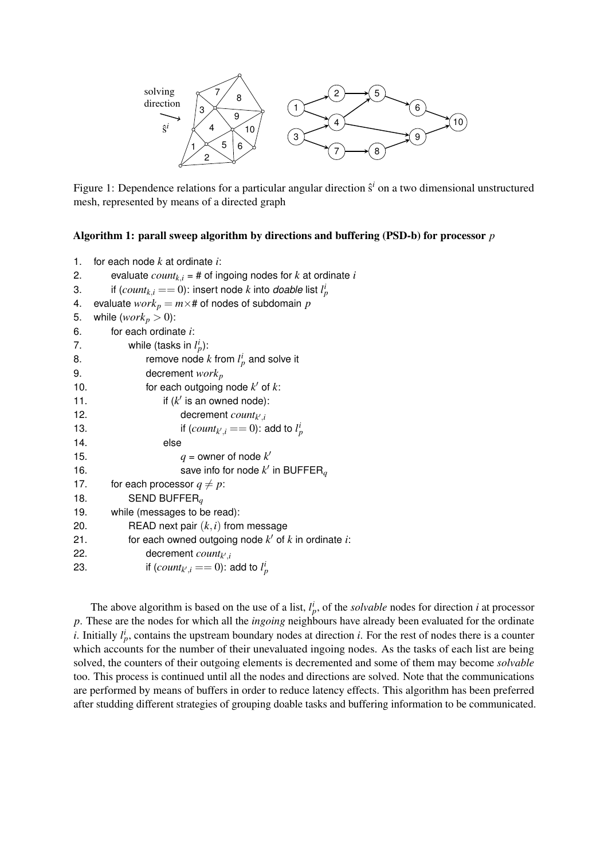

Figure 1: Dependence relations for a particular angular direction  $\hat{s}^i$  on a two dimensional unstructured mesh, represented by means of a directed graph

#### Algorithm 1: parall sweep algorithm by directions and buffering (PSD-b) for processor *p*

```
1. for each node k at ordinate i:
2. evaluate count_{k,i} = # of ingoing nodes for k at ordinate i3. if \text{(count}_{k,i} == 0): insert node k into doable list l_p^i4. evaluate work_p = m \times # of nodes of subdomain p
5. while (work_p > 0):
6. for each ordinate i:
7. while (tasks in l_p^i):
8. The remove node k from l_p^i and solve it
9. decrement workp
10. \qquad \qquad for each outgoing node k' of k:
11. \qquad \qquad if (k' \text{ is an owned node}):
12. decrement count<sub>k',i</sub>
13. if (count_{k',i} == 0): add to l_p^i14. else
15. q =owner of node k'16. Save info for node k' in BUFFER<sub>q</sub>
17. for each processor q \neq p:
18. SEND BUFFERq
19. while (messages to be read):
20. READ next pair (k,i) from message
21. for each owned outgoing node k' of k in ordinate i:
22. decrement countk
0
,i
23. if (count_{k',i} == 0): add to l_p^i
```
The above algorithm is based on the use of a list,  $l_p^i$ , of the *solvable* nodes for direction *i* at processor *p*. These are the nodes for which all the *ingoing* neighbours have already been evaluated for the ordinate *i*. Initially  $l_p^i$ , contains the upstream boundary nodes at direction *i*. For the rest of nodes there is a counter which accounts for the number of their unevaluated ingoing nodes. As the tasks of each list are being solved, the counters of their outgoing elements is decremented and some of them may become *solvable* too. This process is continued until all the nodes and directions are solved. Note that the communications are performed by means of buffers in order to reduce latency effects. This algorithm has been preferred after studding different strategies of grouping doable tasks and buffering information to be communicated.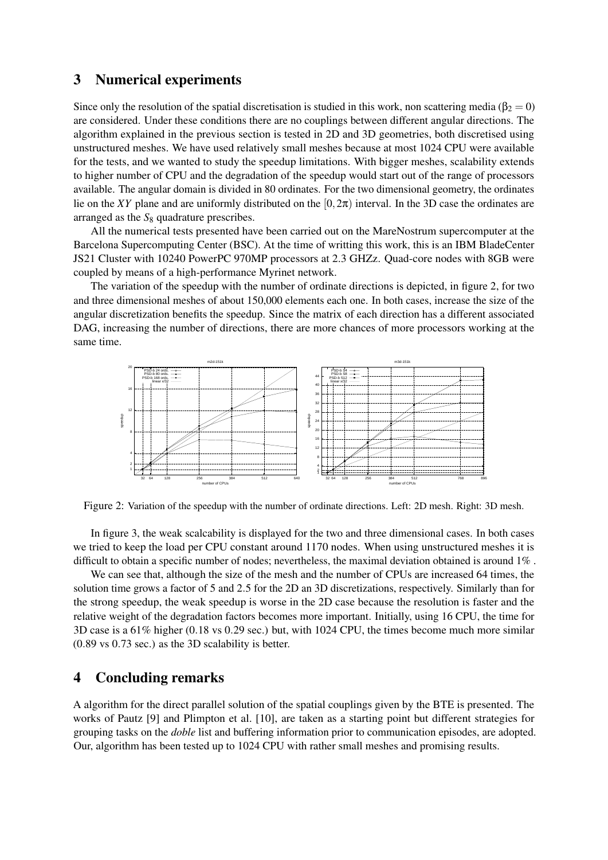### 3 Numerical experiments

Since only the resolution of the spatial discretisation is studied in this work, non scattering media ( $\beta_2 = 0$ ) are considered. Under these conditions there are no couplings between different angular directions. The algorithm explained in the previous section is tested in 2D and 3D geometries, both discretised using unstructured meshes. We have used relatively small meshes because at most 1024 CPU were available for the tests, and we wanted to study the speedup limitations. With bigger meshes, scalability extends to higher number of CPU and the degradation of the speedup would start out of the range of processors available. The angular domain is divided in 80 ordinates. For the two dimensional geometry, the ordinates lie on the *XY* plane and are uniformly distributed on the  $[0,2\pi)$  interval. In the 3D case the ordinates are arranged as the  $S_8$  quadrature prescribes.

All the numerical tests presented have been carried out on the MareNostrum supercomputer at the Barcelona Supercomputing Center (BSC). At the time of writting this work, this is an IBM BladeCenter JS21 Cluster with 10240 PowerPC 970MP processors at 2.3 GHZz. Quad-core nodes with 8GB were coupled by means of a high-performance Myrinet network.

The variation of the speedup with the number of ordinate directions is depicted, in figure 2, for two and three dimensional meshes of about 150,000 elements each one. In both cases, increase the size of the angular discretization benefits the speedup. Since the matrix of each direction has a different associated DAG, increasing the number of directions, there are more chances of more processors working at the same time.



Figure 2: Variation of the speedup with the number of ordinate directions. Left: 2D mesh. Right: 3D mesh.

In figure 3, the weak scalcability is displayed for the two and three dimensional cases. In both cases we tried to keep the load per CPU constant around 1170 nodes. When using unstructured meshes it is difficult to obtain a specific number of nodes; nevertheless, the maximal deviation obtained is around 1% .

We can see that, although the size of the mesh and the number of CPUs are increased 64 times, the solution time grows a factor of 5 and 2.5 for the 2D an 3D discretizations, respectively. Similarly than for the strong speedup, the weak speedup is worse in the 2D case because the resolution is faster and the relative weight of the degradation factors becomes more important. Initially, using 16 CPU, the time for 3D case is a 61% higher (0.18 vs 0.29 sec.) but, with 1024 CPU, the times become much more similar (0.89 vs 0.73 sec.) as the 3D scalability is better.

# 4 Concluding remarks

A algorithm for the direct parallel solution of the spatial couplings given by the BTE is presented. The works of Pautz [9] and Plimpton et al. [10], are taken as a starting point but different strategies for grouping tasks on the *doble* list and buffering information prior to communication episodes, are adopted. Our, algorithm has been tested up to 1024 CPU with rather small meshes and promising results.